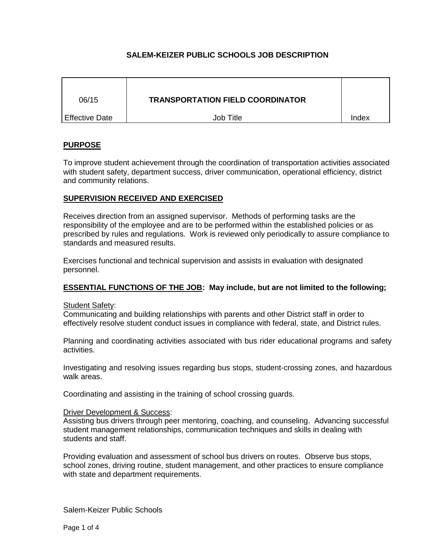# **SALEM-KEIZER PUBLIC SCHOOLS JOB DESCRIPTION**

| 06/15                 | <b>TRANSPORTATION FIELD COORDINATOR</b> |       |
|-----------------------|-----------------------------------------|-------|
| <b>Effective Date</b> | Job Title                               | Index |

# **PURPOSE**

To improve student achievement through the coordination of transportation activities associated with student safety, department success, driver communication, operational efficiency, district and community relations.

## **SUPERVISION RECEIVED AND EXERCISED**

Receives direction from an assigned supervisor. Methods of performing tasks are the responsibility of the employee and are to be performed within the established policies or as prescribed by rules and regulations. Work is reviewed only periodically to assure compliance to standards and measured results.

Exercises functional and technical supervision and assists in evaluation with designated personnel.

## **ESSENTIAL FUNCTIONS OF THE JOB: May include, but are not limited to the following;**

## **Student Safety:**

Communicating and building relationships with parents and other District staff in order to effectively resolve student conduct issues in compliance with federal, state, and District rules.

Planning and coordinating activities associated with bus rider educational programs and safety activities.

Investigating and resolving issues regarding bus stops, student-crossing zones, and hazardous walk areas.

Coordinating and assisting in the training of school crossing guards.

## Driver Development & Success:

Assisting bus drivers through peer mentoring, coaching, and counseling. Advancing successful student management relationships, communication techniques and skills in dealing with students and staff.

Providing evaluation and assessment of school bus drivers on routes. Observe bus stops, school zones, driving routine, student management, and other practices to ensure compliance with state and department requirements.

Salem-Keizer Public Schools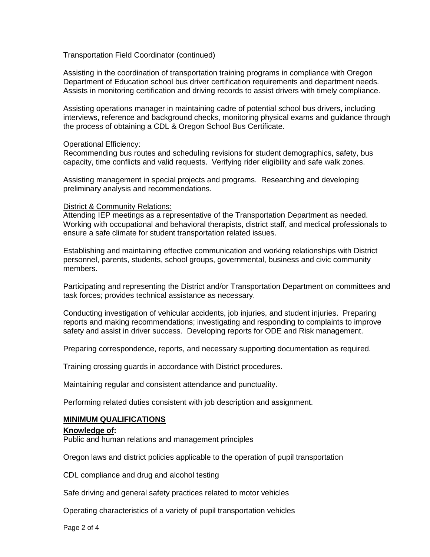Transportation Field Coordinator (continued)

Assisting in the coordination of transportation training programs in compliance with Oregon Department of Education school bus driver certification requirements and department needs. Assists in monitoring certification and driving records to assist drivers with timely compliance.

Assisting operations manager in maintaining cadre of potential school bus drivers, including interviews, reference and background checks, monitoring physical exams and guidance through the process of obtaining a CDL & Oregon School Bus Certificate.

### Operational Efficiency:

Recommending bus routes and scheduling revisions for student demographics, safety, bus capacity, time conflicts and valid requests. Verifying rider eligibility and safe walk zones.

Assisting management in special projects and programs. Researching and developing preliminary analysis and recommendations.

### District & Community Relations:

Attending IEP meetings as a representative of the Transportation Department as needed. Working with occupational and behavioral therapists, district staff, and medical professionals to ensure a safe climate for student transportation related issues.

Establishing and maintaining effective communication and working relationships with District personnel, parents, students, school groups, governmental, business and civic community members.

Participating and representing the District and/or Transportation Department on committees and task forces; provides technical assistance as necessary.

Conducting investigation of vehicular accidents, job injuries, and student injuries. Preparing reports and making recommendations; investigating and responding to complaints to improve safety and assist in driver success. Developing reports for ODE and Risk management.

Preparing correspondence, reports, and necessary supporting documentation as required.

Training crossing guards in accordance with District procedures.

Maintaining regular and consistent attendance and punctuality.

Performing related duties consistent with job description and assignment.

## **MINIMUM QUALIFICATIONS**

#### **Knowledge of:**

Public and human relations and management principles

Oregon laws and district policies applicable to the operation of pupil transportation

CDL compliance and drug and alcohol testing

Safe driving and general safety practices related to motor vehicles

Operating characteristics of a variety of pupil transportation vehicles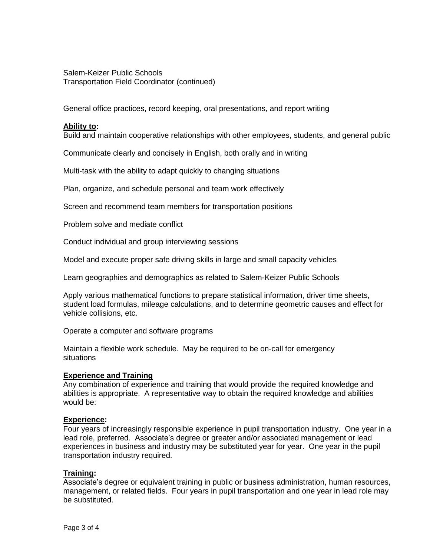Salem-Keizer Public Schools Transportation Field Coordinator (continued)

General office practices, record keeping, oral presentations, and report writing

## **Ability to:**

Build and maintain cooperative relationships with other employees, students, and general public

Communicate clearly and concisely in English, both orally and in writing

Multi-task with the ability to adapt quickly to changing situations

Plan, organize, and schedule personal and team work effectively

Screen and recommend team members for transportation positions

Problem solve and mediate conflict

Conduct individual and group interviewing sessions

Model and execute proper safe driving skills in large and small capacity vehicles

Learn geographies and demographics as related to Salem-Keizer Public Schools

Apply various mathematical functions to prepare statistical information, driver time sheets, student load formulas, mileage calculations, and to determine geometric causes and effect for vehicle collisions, etc.

Operate a computer and software programs

Maintain a flexible work schedule. May be required to be on-call for emergency situations

## **Experience and Training**

Any combination of experience and training that would provide the required knowledge and abilities is appropriate. A representative way to obtain the required knowledge and abilities would be:

## **Experience:**

Four years of increasingly responsible experience in pupil transportation industry. One year in a lead role, preferred. Associate's degree or greater and/or associated management or lead experiences in business and industry may be substituted year for year. One year in the pupil transportation industry required.

## **Training:**

Associate's degree or equivalent training in public or business administration, human resources, management, or related fields. Four years in pupil transportation and one year in lead role may be substituted.